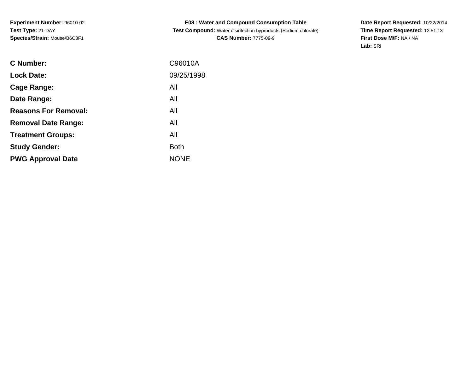**Experiment Number:** 96010-02**Test Type:** 21-DAY**Species/Strain:** Mouse/B6C3F1

**E08 : Water and Compound Consumption Table Test Compound:** Water disinfection byproducts (Sodium chlorate)**CAS Number:** 7775-09-9

**Date Report Requested:** 10/22/2014 **Time Report Requested:** 12:51:13**First Dose M/F:** NA / NA**Lab:** SRI

| C Number:                   | C96010A     |
|-----------------------------|-------------|
| <b>Lock Date:</b>           | 09/25/1998  |
| Cage Range:                 | All         |
| Date Range:                 | All         |
| <b>Reasons For Removal:</b> | All         |
| <b>Removal Date Range:</b>  | All         |
| <b>Treatment Groups:</b>    | All         |
| <b>Study Gender:</b>        | <b>Both</b> |
| <b>PWG Approval Date</b>    | <b>NONE</b> |
|                             |             |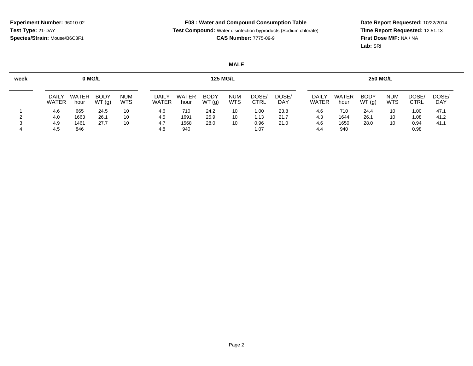**Test Compound:** Water disinfection byproducts (Sodium chlorate)

**CAS Number:** 7775-09-9

**Date Report Requested:** 10/22/2014 **Time Report Requested:** 12:51:13**First Dose M/F:** NA / NA**Lab:** SRI

# **MALE**

| week |                       | <b>125 MG/L</b>      |                      |                          |                       |                      |                      |                          | <b>250 MG/L</b>      |                     |                       |                      |                      |                          |              |                     |
|------|-----------------------|----------------------|----------------------|--------------------------|-----------------------|----------------------|----------------------|--------------------------|----------------------|---------------------|-----------------------|----------------------|----------------------|--------------------------|--------------|---------------------|
|      | DAILY<br><b>WATER</b> | <b>WATER</b><br>hour | <b>BODY</b><br>WT(g) | <b>NUM</b><br><b>WTS</b> | DAILY<br><b>WATER</b> | <b>WATER</b><br>hour | <b>BODY</b><br>WT(g) | <b>NUM</b><br><b>WTS</b> | DOSE/<br><b>CTRL</b> | DOSE/<br><b>DAY</b> | DAILY<br><b>WATER</b> | <b>WATER</b><br>hour | <b>BODY</b><br>WT(g) | <b>NUM</b><br><b>WTS</b> | DOSE<br>CTRL | DOSE/<br><b>DAY</b> |
|      | 4.6                   | 665                  | 24.5                 | 10                       | 4.6                   | 710                  | 24.2                 | 10                       | 1.00                 | 23.8                | 4.6                   | 710                  | 24.4                 | 10                       | 1.00         | 47.1                |
|      | 4.0                   | 1663                 | 26.1                 | 10                       | 4.5                   | 1691                 | 25.9                 | 10                       | 1.13                 | 21.7                | 4.3                   | 1644                 | 26.1                 | 10                       | 1.08         | 41.2                |
|      | 4.9                   | 1461                 | 27.7                 | 10                       | 4.7                   | 1568                 | 28.0                 | 10                       | 0.96                 | 21.0                | 4.6                   | 1650                 | 28.0                 | 10                       | 0.94         | 41. i               |
|      | 4.5                   | 846                  |                      |                          | 4.8                   | 940                  |                      |                          | 1.07                 |                     | 4.4                   | 940                  |                      |                          | 0.98         |                     |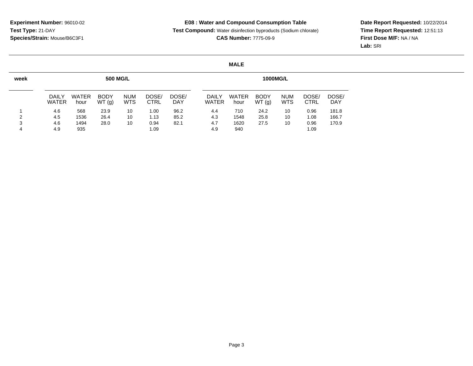**Test Compound:** Water disinfection byproducts (Sodium chlorate)

**CAS Number:** 7775-09-9

**Date Report Requested:** 10/22/2014 **Time Report Requested:** 12:51:13**First Dose M/F:** NA / NA**Lab:** SRI

# **MALE**

| week | <b>500 MG/L</b>       |                      |                      |                          |                      |              |  | <b>1000MG/L</b>              |                      |                      |                          |                      |                     |  |
|------|-----------------------|----------------------|----------------------|--------------------------|----------------------|--------------|--|------------------------------|----------------------|----------------------|--------------------------|----------------------|---------------------|--|
|      | DAILY<br><b>WATER</b> | <b>WATER</b><br>hour | <b>BODY</b><br>WT(g) | <b>NUM</b><br><b>WTS</b> | DOSE/<br><b>CTRL</b> | DOSE/<br>DAY |  | <b>DAILY</b><br><b>WATER</b> | <b>WATER</b><br>hour | <b>BODY</b><br>WT(g) | <b>NUM</b><br><b>WTS</b> | DOSE/<br><b>CTRL</b> | DOSE/<br><b>DAY</b> |  |
|      | 4.6                   | 568                  | 23.9                 | 10                       | 1.00                 | 96.2         |  | 4.4                          | 710                  | 24.2                 | 10                       | 0.96                 | 181.8               |  |
| າ    | 4.5                   | 1536                 | 26.4                 | 10                       | 1.13                 | 85.2         |  | 4.3                          | 1548                 | 25.8                 | 10                       | 1.08                 | 166.7               |  |
| 3    | 4.6                   | 1494                 | 28.0                 | 10                       | 0.94                 | 82.1         |  | 4.7                          | 1620                 | 27.5                 | 10                       | 0.96                 | 170.9               |  |
| 4    | 4.9                   | 935                  |                      |                          | 1.09                 |              |  | 4.9                          | 940                  |                      |                          | 1.09                 |                     |  |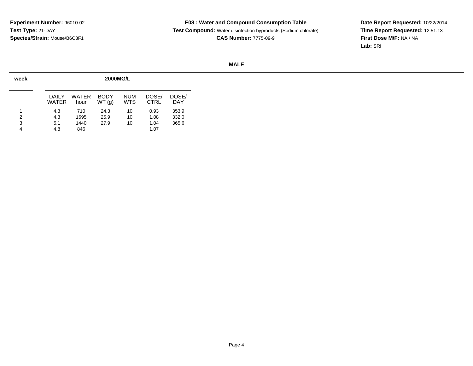**Test Compound:** Water disinfection byproducts (Sodium chlorate)**CAS Number:** 7775-09-9

**Date Report Requested:** 10/22/2014 **Time Report Requested:** 12:51:13**First Dose M/F:** NA / NA**Lab:** SRI

# **MALE**

| week | <b>2000MG/L</b> |               |                      |                          |                      |              |  |  |  |  |  |  |  |
|------|-----------------|---------------|----------------------|--------------------------|----------------------|--------------|--|--|--|--|--|--|--|
|      | DAIL Y<br>WATER | WATER<br>hour | <b>BODY</b><br>WT(q) | <b>NUM</b><br><b>WTS</b> | DOSE/<br><b>CTRL</b> | DOSE/<br>DAY |  |  |  |  |  |  |  |
| 1    | 4.3             | 710           | 24.3                 | 10                       | 0.93                 | 353.9        |  |  |  |  |  |  |  |
| 2    | 4.3             | 1695          | 25.9                 | 10                       | 1.08                 | 332.0        |  |  |  |  |  |  |  |
| 3    | 5.1             | 1440          | 27.9                 | 10                       | 1.04                 | 365.6        |  |  |  |  |  |  |  |
| 4    | 4.8             | 846           |                      |                          | 1.07                 |              |  |  |  |  |  |  |  |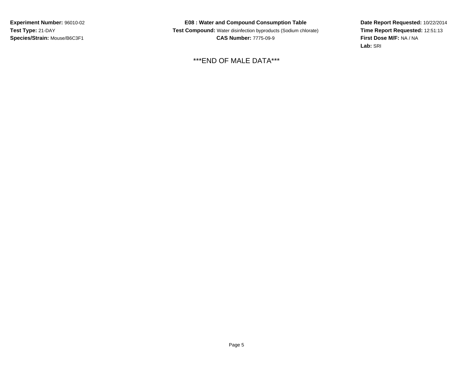**Experiment Number:** 96010-02**Test Type:** 21-DAY**Species/Strain:** Mouse/B6C3F1

**E08 : Water and Compound Consumption Table Test Compound:** Water disinfection byproducts (Sodium chlorate)**CAS Number:** 7775-09-9

\*\*\*END OF MALE DATA\*\*\*

**Date Report Requested:** 10/22/2014 **Time Report Requested:** 12:51:13**First Dose M/F:** NA / NA**Lab:** SRI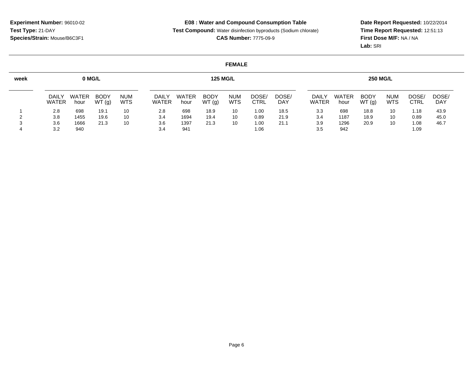**Test Compound:** Water disinfection byproducts (Sodium chlorate)

**CAS Number:** 7775-09-9

**Date Report Requested:** 10/22/2014 **Time Report Requested:** 12:51:13**First Dose M/F:** NA / NA**Lab:** SRI

#### **FEMALE**

| week |                       | 0 MG/L<br><b>125 MG/L</b> |                      |                   |                       |               |                      |                          | <b>250 MG/L</b> |                     |                       |                      |                      |                          |               |                     |
|------|-----------------------|---------------------------|----------------------|-------------------|-----------------------|---------------|----------------------|--------------------------|-----------------|---------------------|-----------------------|----------------------|----------------------|--------------------------|---------------|---------------------|
|      | DAILY<br><b>WATER</b> | <b>WATER</b><br>hour      | <b>BODY</b><br>WT(g) | <b>NUM</b><br>WTS | DAILY<br><b>WATER</b> | WATER<br>hour | <b>BODY</b><br>WT(g) | <b>NUM</b><br><b>WTS</b> | DOSE<br>CTRL    | DOSE/<br><b>DAY</b> | DAILY<br><b>WATER</b> | <b>WATER</b><br>hour | <b>BODY</b><br>WT(g) | <b>NUM</b><br><b>WTS</b> | DOSE.<br>CTRL | DOSE/<br><b>DAY</b> |
|      | 2.8                   | 698                       | 19.1                 | 10                | 2.8                   | 698           | 18.9                 | 10                       | 1.00            | 18.5                | 3.3                   | 698                  | 18.8                 | 10                       | 1.18          | 43.9                |
|      | 3.8                   | 1455                      | 19.6                 | 10                | 3.4                   | 1694          | 19.4                 | 10                       | 0.89            | 21.9                | 3.4                   | 1187                 | 18.9                 | 10                       | 0.89          | 45.0                |
|      | 3.6                   | 1666                      | 21.3                 | 10                | 3.6                   | 1397          | 21.3                 | 10                       | 1.00            | 21.7                | 3.9                   | 1296                 | 20.9                 | 10                       | 1.08          | 46.7                |
|      | 3.2                   | 940                       |                      |                   | 3.4                   | 941           |                      |                          | 1.06            |                     | 3.5                   | 942                  |                      |                          | 1.09          |                     |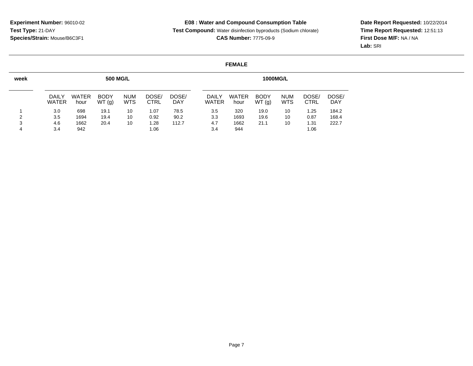**Test Compound:** Water disinfection byproducts (Sodium chlorate)**CAS Number:** 7775-09-9

**Date Report Requested:** 10/22/2014 **Time Report Requested:** 12:51:13**First Dose M/F:** NA / NA**Lab:** SRI

#### **FEMALE**

| week |                              |                      | <b>500 MG/L</b>      |                          |                      |              | <b>1000MG/L</b> |                              |               |                      |                   |               |                     |
|------|------------------------------|----------------------|----------------------|--------------------------|----------------------|--------------|-----------------|------------------------------|---------------|----------------------|-------------------|---------------|---------------------|
|      | <b>DAILY</b><br><b>WATER</b> | <b>WATER</b><br>hour | <b>BODY</b><br>WT(g) | <b>NUM</b><br><b>WTS</b> | DOSE/<br><b>CTRL</b> | DOSE/<br>DAY |                 | <b>DAILY</b><br><b>WATER</b> | WATER<br>hour | <b>BODY</b><br>WT(g) | <b>NUM</b><br>WTS | DOSE/<br>CTRL | Dose/<br><b>DAY</b> |
|      | 3.0                          | 698                  | 19.1                 | 10                       | 1.07                 | 78.5         |                 | 3.5                          | 320           | 19.0                 | 10                | 1.25          | 184.2               |
| າ    | 3.5                          | 1694                 | 19.4                 | 10                       | 0.92                 | 90.2         |                 | 3.3                          | 1693          | 19.6                 | 10                | 0.87          | 168.4               |
| 3    | 4.6                          | 1662                 | 20.4                 | 10                       | 1.28                 | 112.7        |                 | 4.7                          | 1662          | 21.1                 | 10                | 1.31          | 222.7               |
| 4    | 3.4                          | 942                  |                      |                          | 1.06                 |              |                 | 3.4                          | 944           |                      |                   | 1.06          |                     |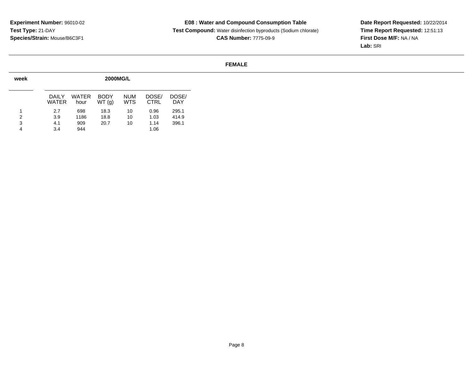**Test Compound:** Water disinfection byproducts (Sodium chlorate)**CAS Number:** 7775-09-9

**Date Report Requested:** 10/22/2014 **Time Report Requested:** 12:51:13**First Dose M/F:** NA / NA**Lab:** SRI

#### **FEMALE**

| week |                 | <b>2000MG/L</b> |                       |                          |                      |                     |  |  |  |  |  |  |  |
|------|-----------------|-----------------|-----------------------|--------------------------|----------------------|---------------------|--|--|--|--|--|--|--|
|      | DAIL Y<br>WATER | WATER<br>hour   | <b>BODY</b><br>WT (g) | <b>NUM</b><br><b>WTS</b> | DOSE/<br><b>CTRL</b> | DOSE/<br><b>DAY</b> |  |  |  |  |  |  |  |
| 1    | 2.7             | 698             | 18.3                  | 10                       | 0.96                 | 295.1               |  |  |  |  |  |  |  |
| 2    | 3.9             | 1186            | 18.8                  | 10                       | 1.03                 | 414.9               |  |  |  |  |  |  |  |
| 3    | 4.1             | 909             | 20.7                  | 10                       | 1.14                 | 396.1               |  |  |  |  |  |  |  |
| 4    | 3.4             | 944             |                       |                          | 1.06                 |                     |  |  |  |  |  |  |  |